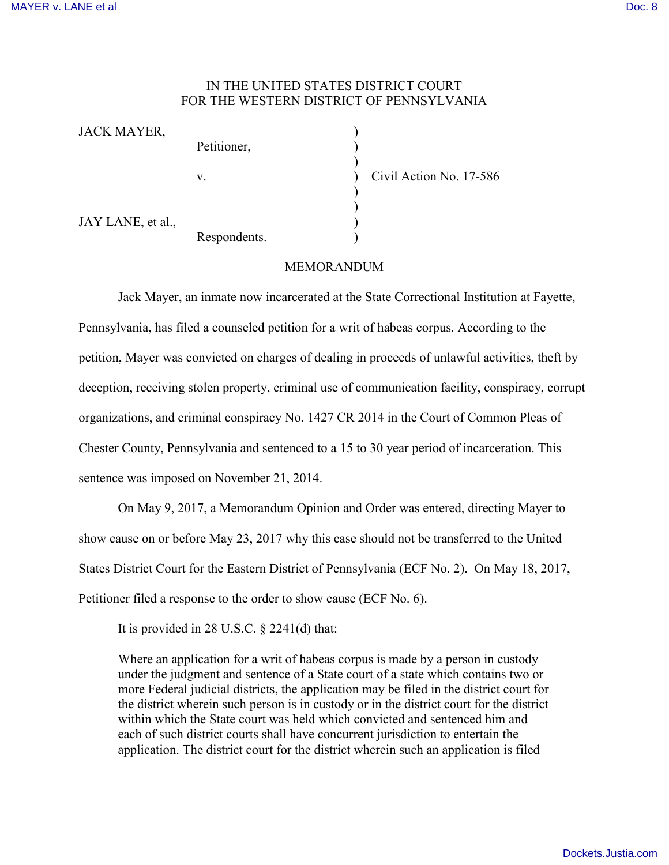## IN THE UNITED STATES DISTRICT COURT FOR THE WESTERN DISTRICT OF PENNSYLVANIA

| JACK MAYER,       |              |  |
|-------------------|--------------|--|
|                   | Petitioner,  |  |
|                   |              |  |
|                   | V.           |  |
|                   |              |  |
| JAY LANE, et al., |              |  |
|                   | Respondents. |  |

v. Civil Action No. 17-586

## MEMORANDUM

Jack Mayer, an inmate now incarcerated at the State Correctional Institution at Fayette, Pennsylvania, has filed a counseled petition for a writ of habeas corpus. According to the petition, Mayer was convicted on charges of dealing in proceeds of unlawful activities, theft by deception, receiving stolen property, criminal use of communication facility, conspiracy, corrupt organizations, and criminal conspiracy No. 1427 CR 2014 in the Court of Common Pleas of Chester County, Pennsylvania and sentenced to a 15 to 30 year period of incarceration. This sentence was imposed on November 21, 2014.

On May 9, 2017, a Memorandum Opinion and Order was entered, directing Mayer to show cause on or before May 23, 2017 why this case should not be transferred to the United States District Court for the Eastern District of Pennsylvania (ECF No. 2). On May 18, 2017, Petitioner filed a response to the order to show cause (ECF No. 6).

It is provided in 28 U.S.C. § 2241(d) that:

Where an application for a writ of habeas corpus is made by a person in custody under the judgment and sentence of a State court of a state which contains two or more Federal judicial districts, the application may be filed in the district court for the district wherein such person is in custody or in the district court for the district within which the State court was held which convicted and sentenced him and each of such district courts shall have concurrent jurisdiction to entertain the application. The district court for the district wherein such an application is filed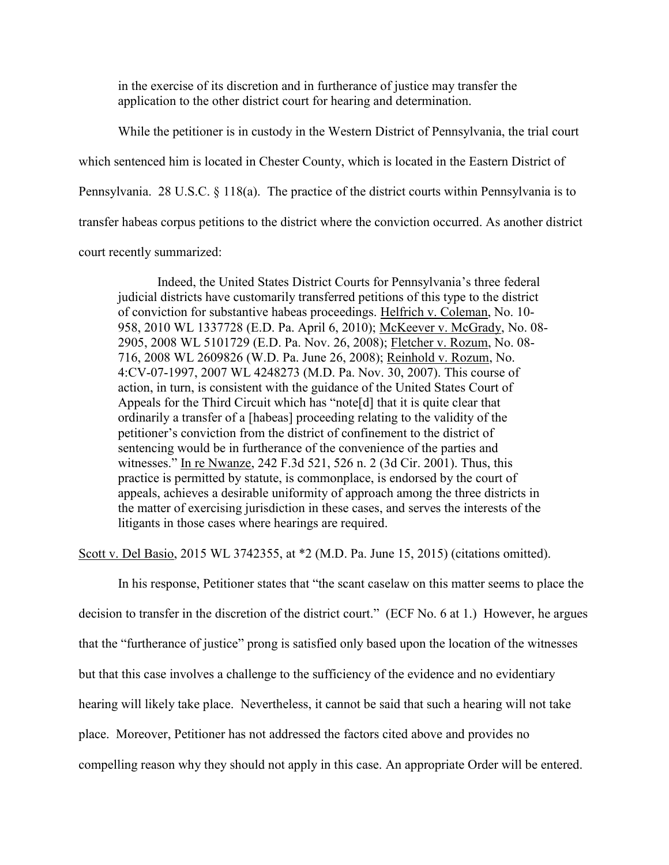in the exercise of its discretion and in furtherance of justice may transfer the application to the other district court for hearing and determination.

While the petitioner is in custody in the Western District of Pennsylvania, the trial court which sentenced him is located in Chester County, which is located in the Eastern District of Pennsylvania. 28 U.S.C. § 118(a). The practice of the district courts within Pennsylvania is to transfer habeas corpus petitions to the district where the conviction occurred. As another district court recently summarized:

Indeed, the United States District Courts for Pennsylvania's three federal judicial districts have customarily transferred petitions of this type to the district of conviction for substantive habeas proceedings. Helfrich v. Coleman, No. 10- 958, 2010 WL 1337728 (E.D. Pa. April 6, 2010); McKeever v. McGrady, No. 08- 2905, 2008 WL 5101729 (E.D. Pa. Nov. 26, 2008); Fletcher v. Rozum, No. 08- 716, 2008 WL 2609826 (W.D. Pa. June 26, 2008); Reinhold v. Rozum, No. 4:CV-07-1997, 2007 WL 4248273 (M.D. Pa. Nov. 30, 2007). This course of action, in turn, is consistent with the guidance of the United States Court of Appeals for the Third Circuit which has "note[d] that it is quite clear that ordinarily a transfer of a [habeas] proceeding relating to the validity of the petitioner's conviction from the district of confinement to the district of sentencing would be in furtherance of the convenience of the parties and witnesses." In re Nwanze, 242 F.3d 521, 526 n. 2 (3d Cir. 2001). Thus, this practice is permitted by statute, is commonplace, is endorsed by the court of appeals, achieves a desirable uniformity of approach among the three districts in the matter of exercising jurisdiction in these cases, and serves the interests of the litigants in those cases where hearings are required.

Scott v. Del Basio, 2015 WL 3742355, at \*2 (M.D. Pa. June 15, 2015) (citations omitted).

In his response, Petitioner states that "the scant caselaw on this matter seems to place the decision to transfer in the discretion of the district court." (ECF No. 6 at 1.) However, he argues that the "furtherance of justice" prong is satisfied only based upon the location of the witnesses but that this case involves a challenge to the sufficiency of the evidence and no evidentiary hearing will likely take place. Nevertheless, it cannot be said that such a hearing will not take place. Moreover, Petitioner has not addressed the factors cited above and provides no compelling reason why they should not apply in this case. An appropriate Order will be entered.